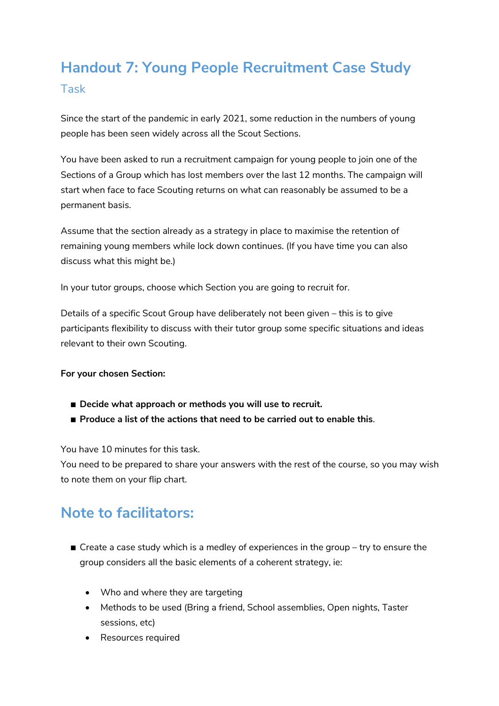## **Handout 7: Young People Recruitment Case Study** Task

Since the start of the pandemic in early 2021, some reduction in the numbers of young people has been seen widely across all the Scout Sections.

You have been asked to run a recruitment campaign for young people to join one of the Sections of a Group which has lost members over the last 12 months. The campaign will start when face to face Scouting returns on what can reasonably be assumed to be a permanent basis.

Assume that the section already as a strategy in place to maximise the retention of remaining young members while lock down continues. (If you have time you can also discuss what this might be.)

In your tutor groups, choose which Section you are going to recruit for.

Details of a specific Scout Group have deliberately not been given – this is to give participants flexibility to discuss with their tutor group some specific situations and ideas relevant to their own Scouting.

## **For your chosen Section:**

- Decide what approach or methods you will use to recruit.
- **Produce a list of the actions that need to be carried out to enable this.**

You have 10 minutes for this task.

You need to be prepared to share your answers with the rest of the course, so you may wish to note them on your flip chart.

## **Note to facilitators:**

- $\blacksquare$  Create a case study which is a medley of experiences in the group try to ensure the group considers all the basic elements of a coherent strategy, ie:
	- Who and where they are targeting
	- Methods to be used (Bring a friend, School assemblies, Open nights, Taster sessions, etc)
	- Resources required